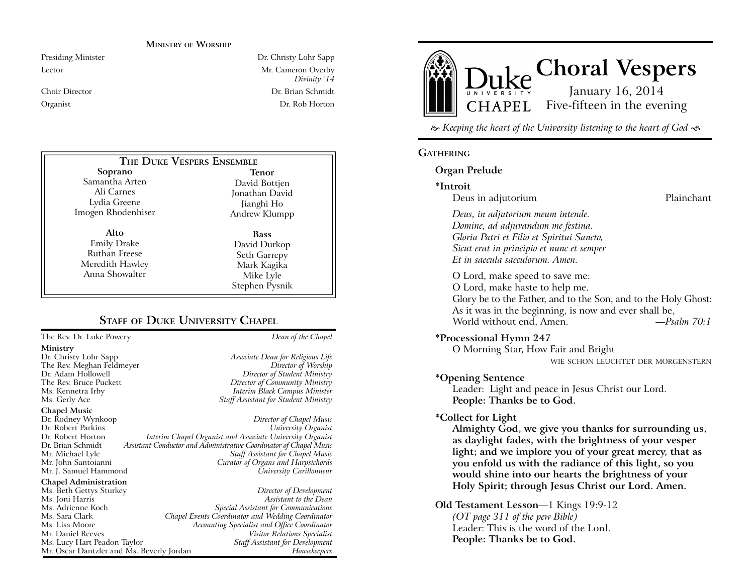### **MINISTRY OF WORSHIP**

Presiding Minister Dr. Christy Lohr Sapp Lector Mr. Cameron Overby *Divinity '14* Choir Director Dr. Brian Schmidt Organist Dr. Rob Horton

#### **Soprano** Samantha Arten Ali Carnes Lydia Greene Imogen Rhodenhiser **Alto** Emily Drake **Tenor** David Bottjen Jonathan David Jianghi Ho Andrew Klumpp **Bass THE DUKE VESPERS ENSEMBLE**

Ruthan Freese Meredith Hawley Anna Showalter

David Durkop Seth Garrepy

Mark Kagika Mike Lyle

Staff Assistant for Development

**STAFF OF DUKE UNIVERSITY CHAPEL** Stephen Pysnik

### The Rev. Dr. Luke Powery *Dean of the Chapel* **Ministry** Dr. Christy Lohr Sapp *Associate Dean for Religious Life* The Rev. Meghan Feldmeyer<br>*Dr. Adam Hollowell* Dr. Adam Hollowell *Director of Student Ministry* The Rev. Bruce Puckett *Director of Community Ministry* Ms. Kennetra Irby *Interim Black Campus Minister* **Staff Assistant for Student Ministry Chapel Music** Director of Chapel Music Dr. Robert Parkins *University Organist* Dr. Robert Horton *Interim Chapel Organist and Associate University Organist* Assistant Conductor and Administrative Coordinator of Chapel Music Mr. Michael Lyle *Staff Assistant for Chapel Music* Mr. John Santoianni *Curator of Organs and Harpsichords* Mr. I. Samuel Hammond **Chapel Administration**  Ms. Beth Gettys Sturkey *Director of Development* Ms. Joni Harris *Assistant to the Dean* Special Assistant for Communications Ms. Sara Clark *Chapel Events Coordinator and Wedding Coordinator* Ms. Lisa Moore *Accounting Specialist and Office Coordinator* Mr. Daniel Reeves *Visitor Relations Specialist*

Mr. Oscar Dantzler and Ms. Beverly Jordan *Housekeepers*



 $\approx$  Keeping the heart of the University listening to the heart of God  $\ll$ 

### **GATHERING**

### **Organ Prelude**

### **\*Introit**

Deus in adjutorium and a control of the Plainchant

*Deus, in adjutorium meum intende. Domine, ad adjuvandum me festina. Gloria Patri et Filio et Spiritui Sancto, Sicut erat in principio et nunc et semper Et in saecula saeculorum. Amen.*

O Lord, make speed to save me: O Lord, make haste to help me. Glory be to the Father, and to the Son, and to the Holy Ghost: As it was in the beginning, is now and ever shall be, World without end, Amen. *—Psalm 70:1*

### **\*Processional Hymn 247**

O Morning Star, How Fair and Bright

WIE SCHON LEUCHTET DER MORGENSTERN

### **\*Opening Sentence**

Leader: Light and peace in Jesus Christ our Lord. **People: Thanks be to God.**

### **\*Collect for Light**

**Almighty God, we give you thanks for surrounding us, as daylight fades, with the brightness of your vesper light; and we implore you of your great mercy, that as you enfold us with the radiance of this light, so you would shine into our hearts the brightness of your Holy Spirit; through Jesus Christ our Lord. Amen.**

**Old Testament Lesson**—1 Kings 19:9-12 *(OT page 311 of the pew Bible)* Leader: This is the word of the Lord. **People: Thanks be to God.**